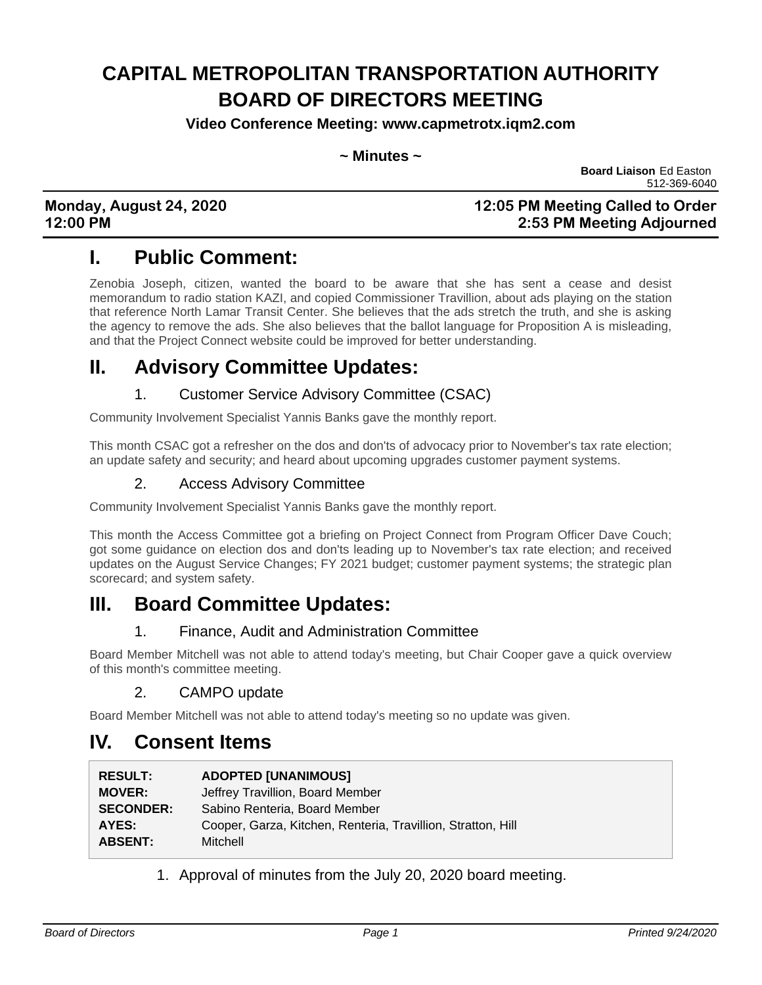# **CAPITAL METROPOLITAN TRANSPORTATION AUTHORITY BOARD OF DIRECTORS MEETING**

**Video Conference Meeting: www.capmetrotx.iqm2.com**

#### **~ Minutes ~**

**Board Liaison** Ed Easton 512-369-6040

### **Monday, August 24, 2020 12:05 PM Meeting Called to Order 12:00 PM 2:53 PM Meeting Adjourned**

## **I. Public Comment:**

Zenobia Joseph, citizen, wanted the board to be aware that she has sent a cease and desist memorandum to radio station KAZI, and copied Commissioner Travillion, about ads playing on the station that reference North Lamar Transit Center. She believes that the ads stretch the truth, and she is asking the agency to remove the ads. She also believes that the ballot language for Proposition A is misleading, and that the Project Connect website could be improved for better understanding.

### **II. Advisory Committee Updates:**

### 1. Customer Service Advisory Committee (CSAC)

Community Involvement Specialist Yannis Banks gave the monthly report.

This month CSAC got a refresher on the dos and don'ts of advocacy prior to November's tax rate election; an update safety and security; and heard about upcoming upgrades customer payment systems.

### 2. Access Advisory Committee

Community Involvement Specialist Yannis Banks gave the monthly report.

This month the Access Committee got a briefing on Project Connect from Program Officer Dave Couch; got some guidance on election dos and don'ts leading up to November's tax rate election; and received updates on the August Service Changes; FY 2021 budget; customer payment systems; the strategic plan scorecard; and system safety.

### **III. Board Committee Updates:**

### 1. Finance, Audit and Administration Committee

Board Member Mitchell was not able to attend today's meeting, but Chair Cooper gave a quick overview of this month's committee meeting.

### 2. CAMPO update

Board Member Mitchell was not able to attend today's meeting so no update was given.

### **IV. Consent Items**

| <b>ADOPTED [UNANIMOUS]</b>                                   |
|--------------------------------------------------------------|
| Jeffrey Travillion, Board Member                             |
| Sabino Renteria, Board Member                                |
| Cooper, Garza, Kitchen, Renteria, Travillion, Stratton, Hill |
| Mitchell                                                     |
|                                                              |

1. Approval of minutes from the July 20, 2020 board meeting.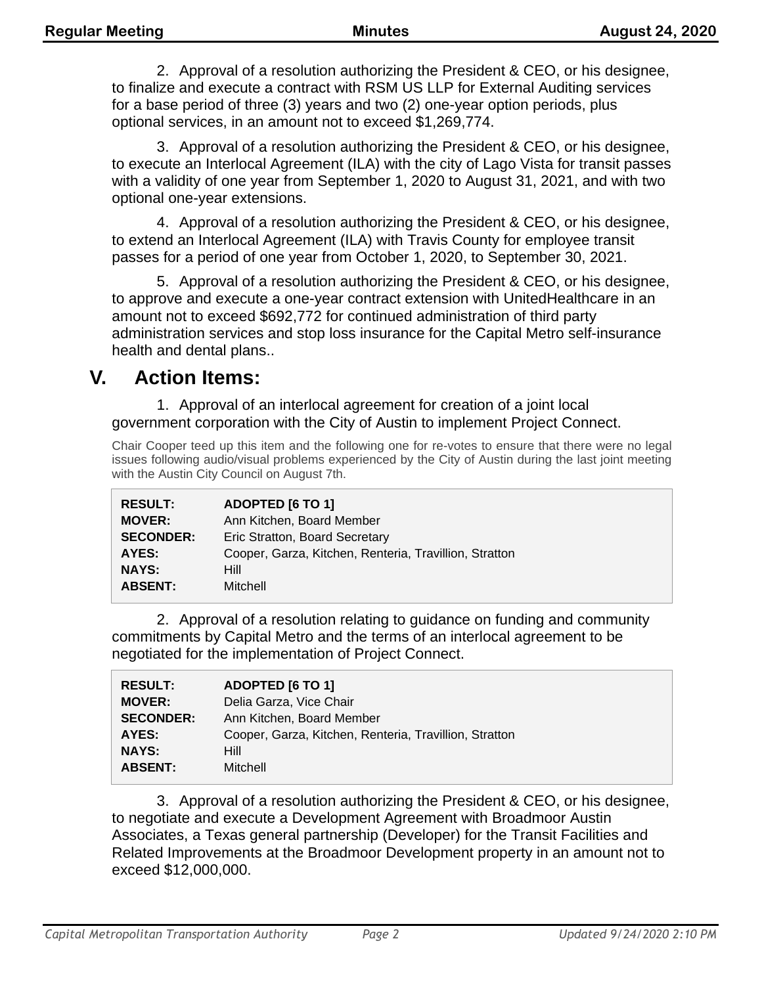2. Approval of a resolution authorizing the President & CEO, or his designee, to finalize and execute a contract with RSM US LLP for External Auditing services for a base period of three (3) years and two (2) one-year option periods, plus optional services, in an amount not to exceed \$1,269,774.

3. Approval of a resolution authorizing the President & CEO, or his designee, to execute an Interlocal Agreement (ILA) with the city of Lago Vista for transit passes with a validity of one year from September 1, 2020 to August 31, 2021, and with two optional one-year extensions.

4. Approval of a resolution authorizing the President & CEO, or his designee, to extend an Interlocal Agreement (ILA) with Travis County for employee transit passes for a period of one year from October 1, 2020, to September 30, 2021.

5. Approval of a resolution authorizing the President & CEO, or his designee, to approve and execute a one-year contract extension with UnitedHealthcare in an amount not to exceed \$692,772 for continued administration of third party administration services and stop loss insurance for the Capital Metro self-insurance health and dental plans..

### **V. Action Items:**

1. Approval of an interlocal agreement for creation of a joint local government corporation with the City of Austin to implement Project Connect.

Chair Cooper teed up this item and the following one for re-votes to ensure that there were no legal issues following audio/visual problems experienced by the City of Austin during the last joint meeting with the Austin City Council on August 7th.

| <b>RESULT:</b>   | <b>ADOPTED [6 TO 1]</b>                                |
|------------------|--------------------------------------------------------|
| <b>MOVER:</b>    | Ann Kitchen, Board Member                              |
| <b>SECONDER:</b> | Eric Stratton, Board Secretary                         |
| AYES:            | Cooper, Garza, Kitchen, Renteria, Travillion, Stratton |
| <b>NAYS:</b>     | <b>Hill</b>                                            |
| <b>ABSENT:</b>   | Mitchell                                               |

2. Approval of a resolution relating to guidance on funding and community commitments by Capital Metro and the terms of an interlocal agreement to be negotiated for the implementation of Project Connect.

| <b>RESULT:</b><br><b>MOVER:</b> | ADOPTED [6 TO 1]<br>Delia Garza, Vice Chair            |
|---------------------------------|--------------------------------------------------------|
| <b>SECONDER:</b>                | Ann Kitchen, Board Member                              |
| AYES:                           | Cooper, Garza, Kitchen, Renteria, Travillion, Stratton |
| <b>NAYS:</b>                    | <b>Hill</b>                                            |
| <b>ABSENT:</b>                  | Mitchell                                               |

3. Approval of a resolution authorizing the President & CEO, or his designee, to negotiate and execute a Development Agreement with Broadmoor Austin Associates, a Texas general partnership (Developer) for the Transit Facilities and Related Improvements at the Broadmoor Development property in an amount not to exceed \$12,000,000.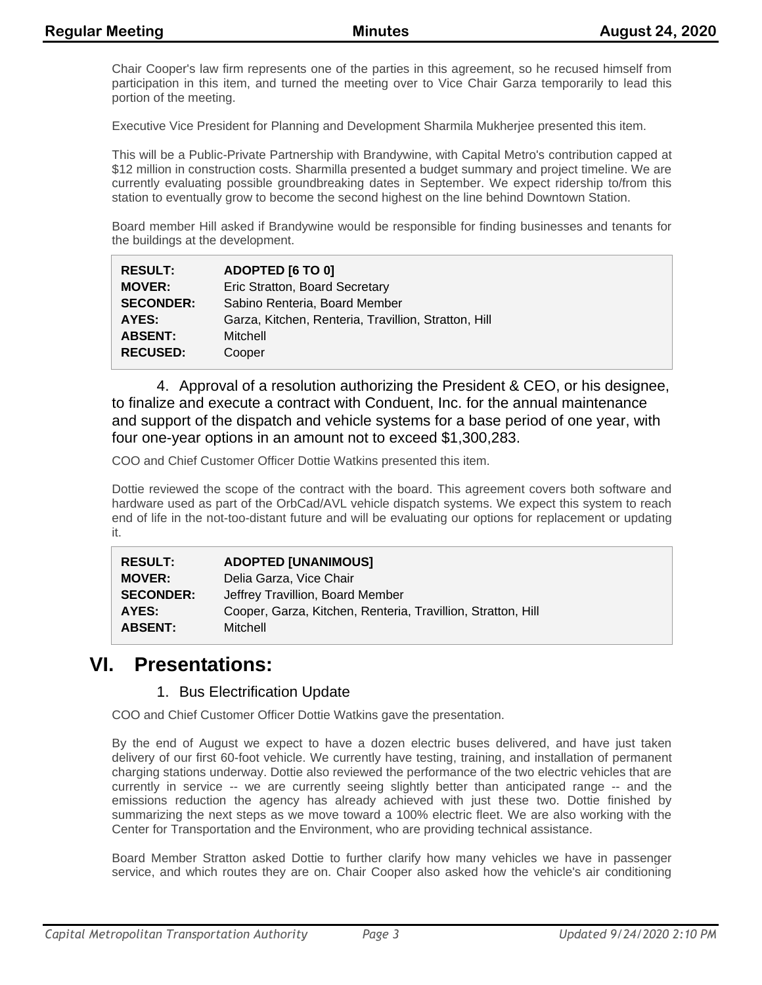Chair Cooper's law firm represents one of the parties in this agreement, so he recused himself from participation in this item, and turned the meeting over to Vice Chair Garza temporarily to lead this portion of the meeting.

Executive Vice President for Planning and Development Sharmila Mukherjee presented this item.

This will be a Public-Private Partnership with Brandywine, with Capital Metro's contribution capped at \$12 million in construction costs. Sharmilla presented a budget summary and project timeline. We are currently evaluating possible groundbreaking dates in September. We expect ridership to/from this station to eventually grow to become the second highest on the line behind Downtown Station.

Board member Hill asked if Brandywine would be responsible for finding businesses and tenants for the buildings at the development.

| <b>RESULT:</b>   | ADOPTED [6 TO 0]                                     |
|------------------|------------------------------------------------------|
| <b>MOVER:</b>    | Eric Stratton, Board Secretary                       |
| <b>SECONDER:</b> | Sabino Renteria, Board Member                        |
| AYES:            | Garza, Kitchen, Renteria, Travillion, Stratton, Hill |
| <b>ABSENT:</b>   | Mitchell                                             |
| <b>RECUSED:</b>  | Cooper                                               |

4. Approval of a resolution authorizing the President & CEO, or his designee, to finalize and execute a contract with Conduent, Inc. for the annual maintenance and support of the dispatch and vehicle systems for a base period of one year, with four one-year options in an amount not to exceed \$1,300,283.

COO and Chief Customer Officer Dottie Watkins presented this item.

Dottie reviewed the scope of the contract with the board. This agreement covers both software and hardware used as part of the OrbCad/AVL vehicle dispatch systems. We expect this system to reach end of life in the not-too-distant future and will be evaluating our options for replacement or updating it.

| <b>RESULT:</b>   | <b>ADOPTED [UNANIMOUS]</b>                                   |
|------------------|--------------------------------------------------------------|
| <b>MOVER:</b>    | Delia Garza, Vice Chair                                      |
| <b>SECONDER:</b> | Jeffrey Travillion, Board Member                             |
| AYES:            | Cooper, Garza, Kitchen, Renteria, Travillion, Stratton, Hill |
| <b>ABSENT:</b>   | Mitchell                                                     |

### **VI. Presentations:**

#### 1. Bus Electrification Update

COO and Chief Customer Officer Dottie Watkins gave the presentation.

By the end of August we expect to have a dozen electric buses delivered, and have just taken delivery of our first 60-foot vehicle. We currently have testing, training, and installation of permanent charging stations underway. Dottie also reviewed the performance of the two electric vehicles that are currently in service -- we are currently seeing slightly better than anticipated range -- and the emissions reduction the agency has already achieved with just these two. Dottie finished by summarizing the next steps as we move toward a 100% electric fleet. We are also working with the Center for Transportation and the Environment, who are providing technical assistance.

Board Member Stratton asked Dottie to further clarify how many vehicles we have in passenger service, and which routes they are on. Chair Cooper also asked how the vehicle's air conditioning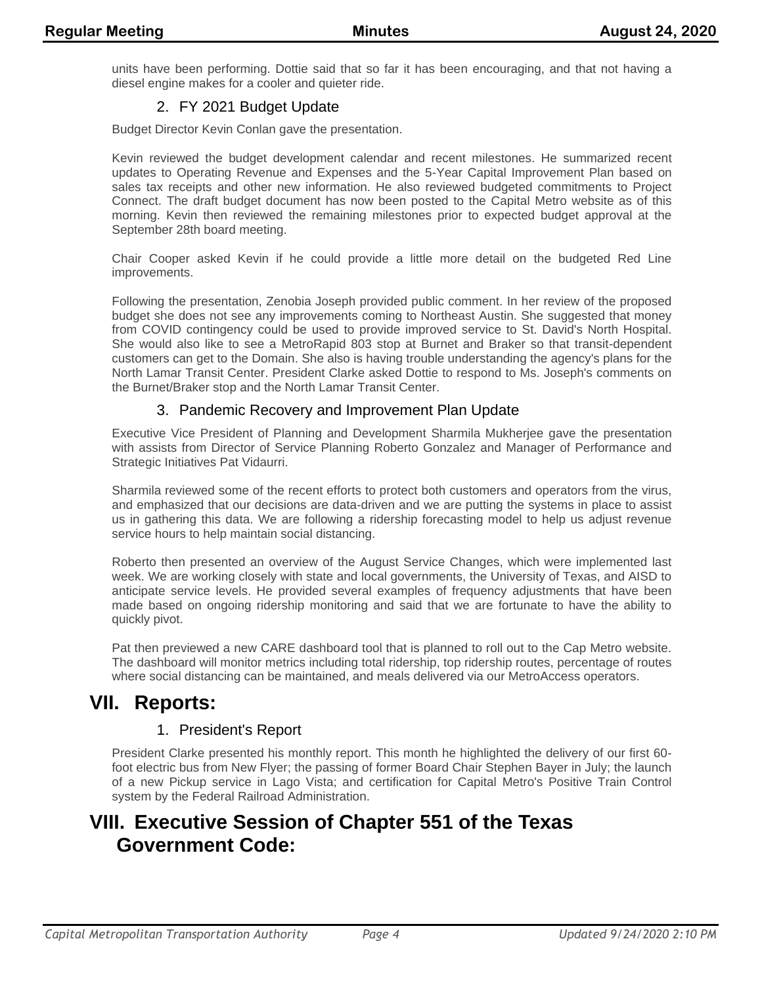units have been performing. Dottie said that so far it has been encouraging, and that not having a diesel engine makes for a cooler and quieter ride.

### 2. FY 2021 Budget Update

Budget Director Kevin Conlan gave the presentation.

Kevin reviewed the budget development calendar and recent milestones. He summarized recent updates to Operating Revenue and Expenses and the 5-Year Capital Improvement Plan based on sales tax receipts and other new information. He also reviewed budgeted commitments to Project Connect. The draft budget document has now been posted to the Capital Metro website as of this morning. Kevin then reviewed the remaining milestones prior to expected budget approval at the September 28th board meeting.

Chair Cooper asked Kevin if he could provide a little more detail on the budgeted Red Line improvements.

Following the presentation, Zenobia Joseph provided public comment. In her review of the proposed budget she does not see any improvements coming to Northeast Austin. She suggested that money from COVID contingency could be used to provide improved service to St. David's North Hospital. She would also like to see a MetroRapid 803 stop at Burnet and Braker so that transit-dependent customers can get to the Domain. She also is having trouble understanding the agency's plans for the North Lamar Transit Center. President Clarke asked Dottie to respond to Ms. Joseph's comments on the Burnet/Braker stop and the North Lamar Transit Center.

#### 3. Pandemic Recovery and Improvement Plan Update

Executive Vice President of Planning and Development Sharmila Mukherjee gave the presentation with assists from Director of Service Planning Roberto Gonzalez and Manager of Performance and Strategic Initiatives Pat Vidaurri.

Sharmila reviewed some of the recent efforts to protect both customers and operators from the virus, and emphasized that our decisions are data-driven and we are putting the systems in place to assist us in gathering this data. We are following a ridership forecasting model to help us adjust revenue service hours to help maintain social distancing.

Roberto then presented an overview of the August Service Changes, which were implemented last week. We are working closely with state and local governments, the University of Texas, and AISD to anticipate service levels. He provided several examples of frequency adjustments that have been made based on ongoing ridership monitoring and said that we are fortunate to have the ability to quickly pivot.

Pat then previewed a new CARE dashboard tool that is planned to roll out to the Cap Metro website. The dashboard will monitor metrics including total ridership, top ridership routes, percentage of routes where social distancing can be maintained, and meals delivered via our MetroAccess operators.

# **VII. Reports:**

### 1. President's Report

President Clarke presented his monthly report. This month he highlighted the delivery of our first 60 foot electric bus from New Flyer; the passing of former Board Chair Stephen Bayer in July; the launch of a new Pickup service in Lago Vista; and certification for Capital Metro's Positive Train Control system by the Federal Railroad Administration.

# **VIII. Executive Session of Chapter 551 of the Texas Government Code:**